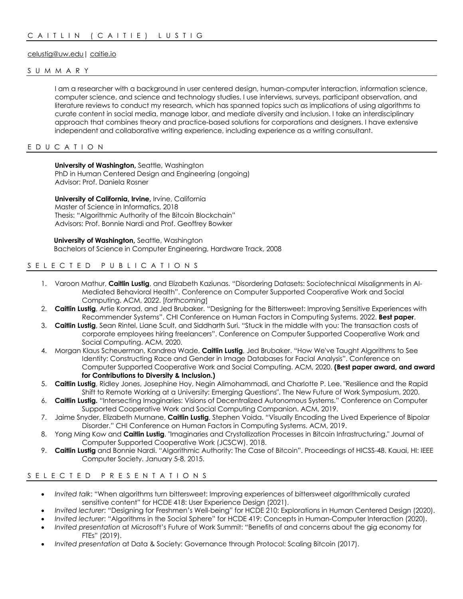# celustig@uw.edu| caitie.io

### SUMMARY

I am a researcher with a background in user centered design, human-computer interaction, information science, computer science, and science and technology studies. I use interviews, surveys, participant observation, and literature reviews to conduct my research, which has spanned topics such as implications of using algorithms to curate content in social media, manage labor, and mediate diversity and inclusion. I take an interdisciplinary approach that combines theory and practice-based solutions for corporations and designers. I have extensive independent and collaborative writing experience, including experience as a writing consultant.

## EDUCATION

**University of Washington,** Seattle, Washington PhD in Human Centered Design and Engineering (ongoing) Advisor: Prof. Daniela Rosner

**University of California, Irvine, Irvine, California** Master of Science in Informatics, 2018 Thesis: "Algorithmic Authority of the Bitcoin Blockchain" Advisors: Prof. Bonnie Nardi and Prof. Geoffrey Bowker

 **University of Washington,** Seattle, Washington Bachelors of Science in Computer Engineering, Hardware Track, 2008

# SELECTED PUBLICATIONS

- 1. Varoon Mathur, **Caitlin Lustig**, and Elizabeth Kaziunas. "Disordering Datasets: Sociotechnical Misalignments in AI-Mediated Behavioral Health". Conference on Computer Supported Cooperative Work and Social Computing. ACM, 2022. [*forthcoming*]
- 2. **Caitlin Lustig**, Artie Konrad, and Jed Brubaker. "Designing for the Bittersweet: Improving Sensitive Experiences with Recommender Systems". CHI Conference on Human Factors in Computing Systems. 2022. **Best paper**.
- 3. **Caitlin Lustig**, Sean Rintel, Liane Scult, and Siddharth Suri. "Stuck in the middle with you: The transaction costs of corporate employees hiring freelancers". Conference on Computer Supported Cooperative Work and Social Computing. ACM, 2020.
- 4. Morgan Klaus Scheuerman, Kandrea Wade, **Caitlin Lustig**, Jed Brubaker. "How We've Taught Algorithms to See Identity: Constructing Race and Gender in Image Databases for Facial Analysis". Conference on Computer Supported Cooperative Work and Social Computing. ACM, 2020. **(Best paper award, and award for Contributions to Diversity & Inclusion.)**
- 5. **Caitlin Lustig**, Ridley Jones, Josephine Hoy, Negin Alimohammadi, and Charlotte P. Lee. "Resilience and the Rapid Shift to Remote Working at a University: Emerging Questions". The New Future of Work Symposium, 2020.
- 6. **Caitlin Lustig.** "Intersecting Imaginaries: Visions of Decentralized Autonomous Systems." Conference on Computer Supported Cooperative Work and Social Computing Companion. ACM, 2019.
- 7. Jaime Snyder, Elizabeth Murnane, **Caitlin Lustig**, Stephen Voida. "Visually Encoding the Lived Experience of Bipolar Disorder." CHI Conference on Human Factors in Computing Systems. ACM, 2019.
- 8. Yong Ming Kow and **Caitlin Lustig**. "Imaginaries and Crystallization Processes in Bitcoin Infrastructuring." Journal of Computer Supported Cooperative Work (JCSCW). 2018.
- 9. **Caitlin Lustig** and Bonnie Nardi. "Algorithmic Authority: The Case of Bitcoin". Proceedings of HICSS-48. Kauai, HI: IEEE Computer Society. January 5-8, 2015.

## S E L E C T E D P R E S E N T A T I O N S

- *Invited talk*: "When algorithms turn bittersweet: Improving experiences of bittersweet algorithmically curated sensitive content" for HCDE 418: User Experience Design (2021).
- *Invited lecturer*: "Designing for Freshmen's Well-being" for HCDE 210: Explorations in Human Centered Design (2020).
- *Invited lecturer*: "Algorithms in the Social Sphere" for HCDE 419: Concepts in Human-Computer Interaction (2020).
- *Invited presentation* at Microsoft's Future of Work Summit: "Benefits of and concerns about the gig economy for FTEs" (2019).
- *Invited presentation* at Data & Society: Governance through Protocol: Scaling Bitcoin (2017).